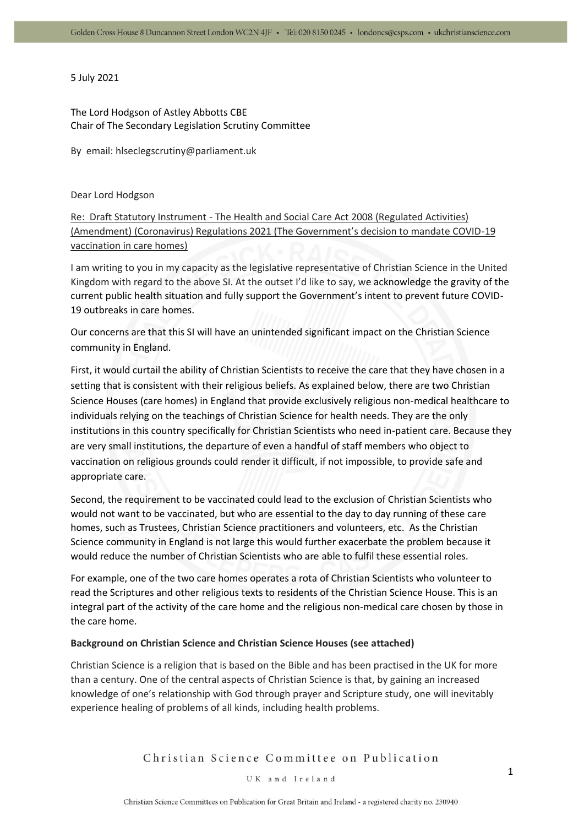# 5 July 2021

# The Lord Hodgson of Astley Abbotts CBE Chair of The Secondary Legislation Scrutiny Committee

By email: hlseclegscrutiny@parliament.uk

# Dear Lord Hodgson

Re: Draft Statutory Instrument - The Health and Social Care Act 2008 (Regulated Activities) (Amendment) (Coronavirus) Regulations 2021 (The Government's decision to mandate COVID-19 vaccination in care homes)

I am writing to you in my capacity as the legislative representative of Christian Science in the United Kingdom with regard to the above SI. At the outset I'd like to say, we acknowledge the gravity of the current public health situation and fully support the Government's intent to prevent future COVID-19 outbreaks in care homes.

Our concerns are that this SI will have an unintended significant impact on the Christian Science community in England.

First, it would curtail the ability of Christian Scientists to receive the care that they have chosen in a setting that is consistent with their religious beliefs. As explained below, there are two Christian Science Houses (care homes) in England that provide exclusively religious non-medical healthcare to individuals relying on the teachings of Christian Science for health needs. They are the only institutions in this country specifically for Christian Scientists who need in-patient care. Because they are very small institutions, the departure of even a handful of staff members who object to vaccination on religious grounds could render it difficult, if not impossible, to provide safe and appropriate care.

Second, the requirement to be vaccinated could lead to the exclusion of Christian Scientists who would not want to be vaccinated, but who are essential to the day to day running of these care homes, such as Trustees, Christian Science practitioners and volunteers, etc. As the Christian Science community in England is not large this would further exacerbate the problem because it would reduce the number of Christian Scientists who are able to fulfil these essential roles.

For example, one of the two care homes operates a rota of Christian Scientists who volunteer to read the Scriptures and other religious texts to residents of the Christian Science House. This is an integral part of the activity of the care home and the religious non-medical care chosen by those in the care home.

# **Background on Christian Science and Christian Science Houses (see attached)**

Christian Science is a religion that is based on the Bible and has been practised in the UK for more than a century. One of the central aspects of Christian Science is that, by gaining an increased knowledge of one's relationship with God through prayer and Scripture study, one will inevitably experience healing of problems of all kinds, including health problems.

Christian Science Committee on Publication

#### UK and Ireland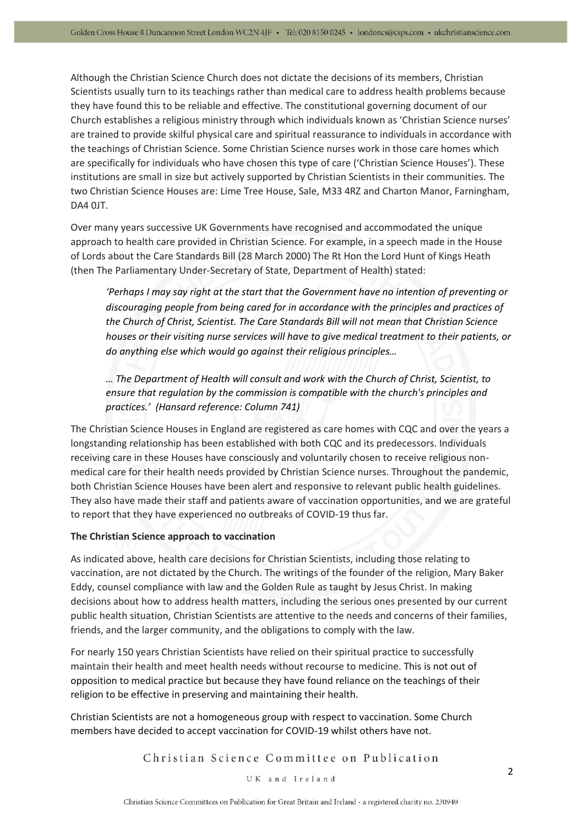Although the Christian Science Church does not dictate the decisions of its members, Christian Scientists usually turn to its teachings rather than medical care to address health problems because they have found this to be reliable and effective. The constitutional governing document of our Church establishes a religious ministry through which individuals known as 'Christian Science nurses' are trained to provide skilful physical care and spiritual reassurance to individuals in accordance with the teachings of Christian Science. Some Christian Science nurses work in those care homes which are specifically for individuals who have chosen this type of care ('Christian Science Houses'). These institutions are small in size but actively supported by Christian Scientists in their communities. The two Christian Science Houses are: Lime Tree House, Sale, M33 4RZ and Charton Manor, Farningham, DA4 0JT.

Over many years successive UK Governments have recognised and accommodated the unique approach to health care provided in Christian Science. For example, in a speech made in the House of Lords about the Care Standards Bill (28 March 2000) The Rt Hon the Lord Hunt of Kings Heath (then The Parliamentary Under-Secretary of State, Department of Health) stated:

*'Perhaps I may say right at the start that the Government have no intention of preventing or discouraging people from being cared for in accordance with the principles and practices of the Church of Christ, Scientist. The Care Standards Bill will not mean that Christian Science houses or their visiting nurse services will have to give medical treatment to their patients, or do anything else which would go against their religious principles…*

*… The Department of Health will consult and work with the Church of Christ, Scientist, to ensure that regulation by the commission is compatible with the church's principles and practices.' (Hansard reference: Column 741)*

The Christian Science Houses in England are registered as care homes with CQC and over the years a longstanding relationship has been established with both CQC and its predecessors. Individuals receiving care in these Houses have consciously and voluntarily chosen to receive religious nonmedical care for their health needs provided by Christian Science nurses. Throughout the pandemic, both Christian Science Houses have been alert and responsive to relevant public health guidelines. They also have made their staff and patients aware of vaccination opportunities, and we are grateful to report that they have experienced no outbreaks of COVID-19 thus far.

# **The Christian Science approach to vaccination**

As indicated above, health care decisions for Christian Scientists, including those relating to vaccination, are not dictated by the Church. The writings of the founder of the religion, Mary Baker Eddy, counsel compliance with law and the Golden Rule as taught by Jesus Christ. In making decisions about how to address health matters, including the serious ones presented by our current public health situation, Christian Scientists are attentive to the needs and concerns of their families, friends, and the larger community, and the obligations to comply with the law.

For nearly 150 years Christian Scientists have relied on their spiritual practice to successfully maintain their health and meet health needs without recourse to medicine. This is not out of opposition to medical practice but because they have found reliance on the teachings of their religion to be effective in preserving and maintaining their health.

Christian Scientists are not a homogeneous group with respect to vaccination. Some Church members have decided to accept vaccination for COVID-19 whilst others have not.

Christian Science Committee on Publication

#### UK and Ireland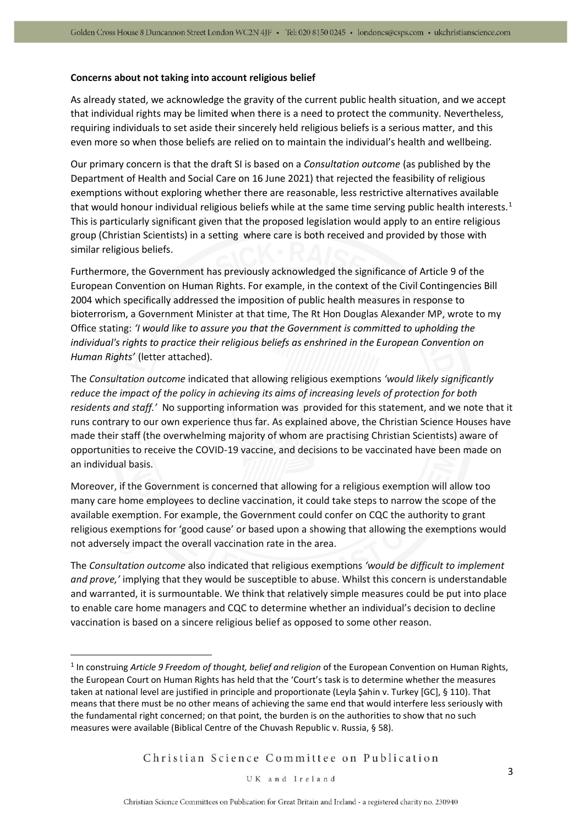#### **Concerns about not taking into account religious belief**

As already stated, we acknowledge the gravity of the current public health situation, and we accept that individual rights may be limited when there is a need to protect the community. Nevertheless, requiring individuals to set aside their sincerely held religious beliefs is a serious matter, and this even more so when those beliefs are relied on to maintain the individual's health and wellbeing.

Our primary concern is that the draft SI is based on a *Consultation outcome* (as published by the Department of Health and Social Care on 16 June 2021) that rejected the feasibility of religious exemptions without exploring whether there are reasonable, less restrictive alternatives available that would honour individual religious beliefs while at the same time serving public health interests.<sup>1</sup> This is particularly significant given that the proposed legislation would apply to an entire religious group (Christian Scientists) in a setting where care is both received and provided by those with similar religious beliefs.

Furthermore, the Government has previously acknowledged the significance of Article 9 of the European Convention on Human Rights. For example, in the context of the Civil Contingencies Bill 2004 which specifically addressed the imposition of public health measures in response to bioterrorism, a Government Minister at that time, The Rt Hon Douglas Alexander MP, wrote to my Office stating: *'I would like to assure you that the Government is committed to upholding the individual's rights to practice their religious beliefs as enshrined in the European Convention on Human Rights'* (letter attached).

The *Consultation outcome* indicated that allowing religious exemptions *'would likely significantly reduce the impact of the policy in achieving its aims of increasing levels of protection for both residents and staff.'* No supporting information was provided for this statement, and we note that it runs contrary to our own experience thus far. As explained above, the Christian Science Houses have made their staff (the overwhelming majority of whom are practising Christian Scientists) aware of opportunities to receive the COVID-19 vaccine, and decisions to be vaccinated have been made on an individual basis.

Moreover, if the Government is concerned that allowing for a religious exemption will allow too many care home employees to decline vaccination, it could take steps to narrow the scope of the available exemption. For example, the Government could confer on CQC the authority to grant religious exemptions for 'good cause' or based upon a showing that allowing the exemptions would not adversely impact the overall vaccination rate in the area.

The *Consultation outcome* also indicated that religious exemptions *'would be difficult to implement and prove,'* implying that they would be susceptible to abuse. Whilst this concern is understandable and warranted, it is surmountable. We think that relatively simple measures could be put into place to enable care home managers and CQC to determine whether an individual's decision to decline vaccination is based on a sincere religious belief as opposed to some other reason.

Christian Science Committee on Publication

<sup>&</sup>lt;sup>1</sup> In construing Article 9 Freedom of thought, belief and religion of the European Convention on Human Rights, the European Court on Human Rights has held that the 'Court's task is to determine whether the measures taken at national level are justified in principle and proportionate (Leyla Şahin v. Turkey [GC], § 110). That means that there must be no other means of achieving the same end that would interfere less seriously with the fundamental right concerned; on that point, the burden is on the authorities to show that no such measures were available (Biblical Centre of the Chuvash Republic v. Russia, § 58).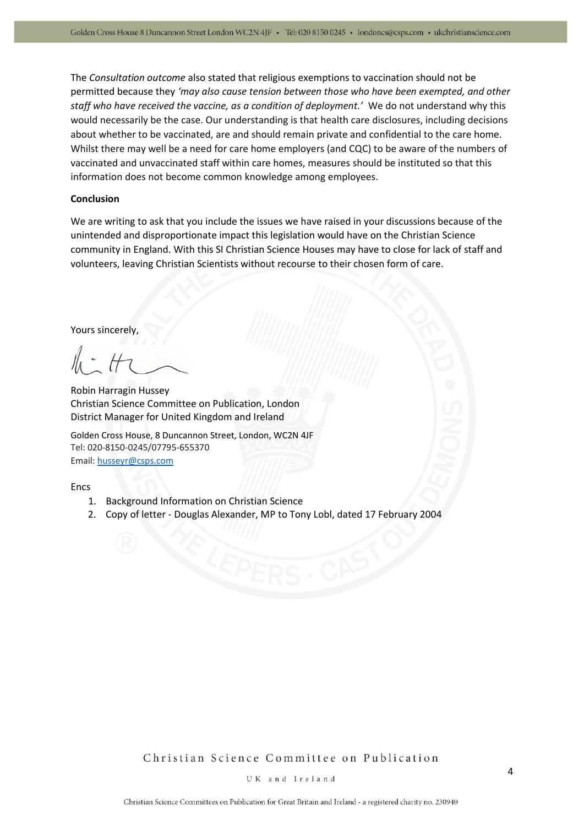The *Consultation outcome* also stated that religious exemptions to vaccination should not be permitted because they *'may also cause tension between those who have been exempted, and other staff who have received the vaccine, as a condition of deployment.'* We do not understand why this would necessarily be the case. Our understanding is that health care disclosures, including decisions about whether to be vaccinated, are and should remain private and confidential to the care home. Whilst there may well be a need for care home employers (and CQC) to be aware of the numbers of vaccinated and unvaccinated staff within care homes, measures should be instituted so that this information does not become common knowledge among employees.

### **Conclusion**

We are writing to ask that you include the issues we have raised in your discussions because of the unintended and disproportionate impact this legislation would have on the Christian Science community in England. With this SI Christian Science Houses may have to close for lack of staff and volunteers, leaving Christian Scientists without recourse to their chosen form of care.

Yours sincerely,

Robin Harragin Hussey Christian Science Committee on Publication, London District Manager for United Kingdom and Ireland

Golden Cross House, 8 Duncannon Street, London, WC2N 4JF Tel: 020-8150-0245/07795-655370 Email: [husseyr@csps.com](mailto:husseyr@csps.com)

Encs

- 1. Background Information on Christian Science
- 2. Copy of letter Douglas Alexander, MP to Tony Lobl, dated 17 February 2004

Christian Science Committee on Publication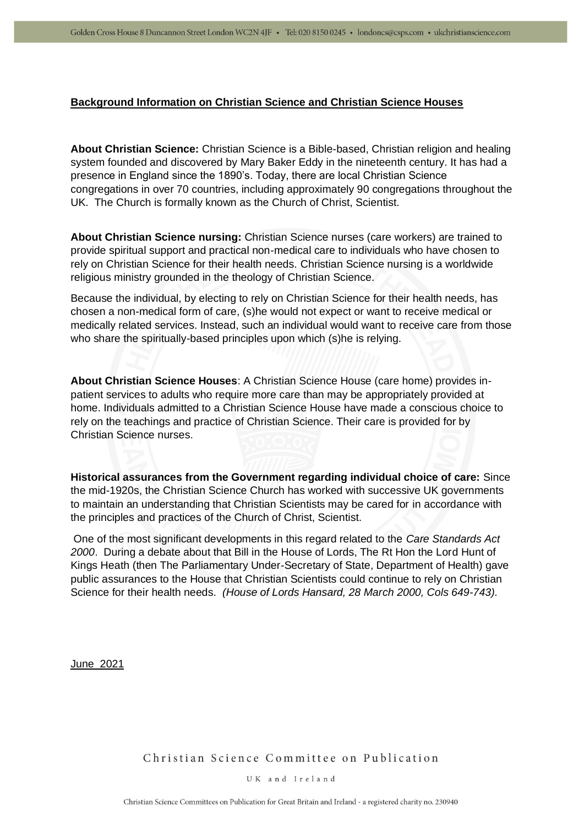# **Background Information on Christian Science and Christian Science Houses**

**About Christian Science:** Christian Science is a Bible-based, Christian religion and healing system founded and discovered by [Mary Baker Eddy](https://www.christianscience.com/what-is-christian-science/mary-baker-eddy) in the nineteenth century. It has had a presence in England since the 1890's. Today, there are local Christian Science congregations in over 70 countries, including approximately 90 congregations throughout the UK. The Church is formally known as the Church of Christ, Scientist.

**About Christian Science nursing:** Christian Science nurses (care workers) are trained to provide spiritual support and practical non-medical care to individuals who have chosen to rely on Christian Science for their health needs. Christian Science nursing is a worldwide religious ministry grounded in the theology of Christian Science.

Because the individual, by electing to rely on Christian Science for their health needs, has chosen a non-medical form of care, (s)he would not expect or want to receive medical or medically related services. Instead, such an individual would want to receive care from those who share the spiritually-based principles upon which (s)he is relying.

**About Christian Science Houses**: A Christian Science House (care home) provides inpatient services to adults who require more care than may be appropriately provided at home. Individuals admitted to a Christian Science House have made a conscious choice to rely on the teachings and practice of Christian Science. Their care is provided for by Christian Science nurses.

**Historical assurances from the Government regarding individual choice of care:** Since the mid-1920s, the Christian Science Church has worked with successive UK governments to maintain an understanding that Christian Scientists may be cared for in accordance with the principles and practices of the Church of Christ, Scientist.

One of the most significant developments in this regard related to the *Care Standards Act 2000*. During a debate about that Bill in the House of Lords, The Rt Hon the Lord Hunt of Kings Heath (then The Parliamentary Under-Secretary of State, Department of Health) gave public assurances to the House that Christian Scientists could continue to rely on Christian Science for their health needs. *(House of Lords Hansard, 28 March 2000, Cols 649-743).*

June 2021

Christian Science Committee on Publication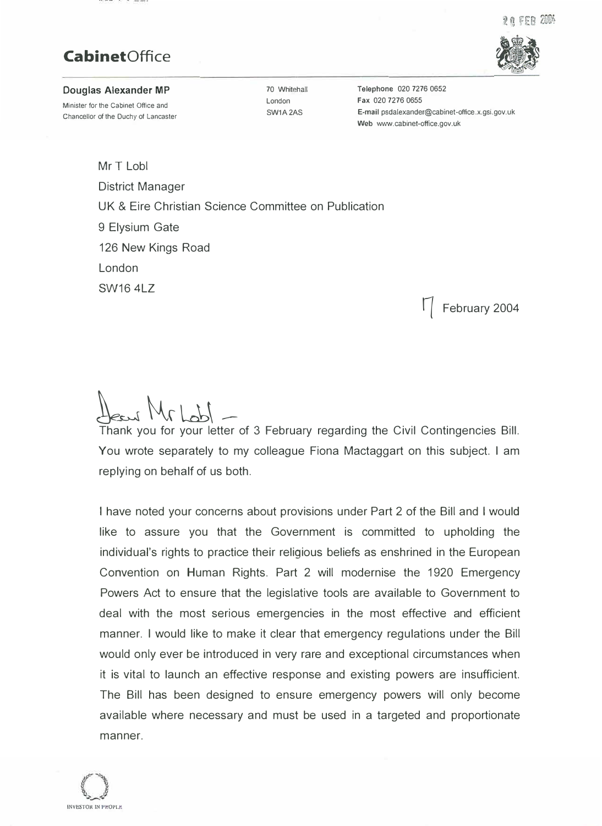2 a FFA 2004

# **CabinetOffice**



### **Douglas Alexander MP**

Minister for the Cabinet Office and Chancellor of the Duchy of Lancaster

70 Whitehall London SW1A2AS

**Telephone** 020 7276 0652 **Fax** 020 7276 0655 **E-mail** psdalexander@cabinet-office.x.gsi.gov.uk **Web** www.cabinet-office.gov.uk

Mr T Lobl District Manager UK & Eire Christian Science Committee on Publication 9 Elysium Gate 126 New Kings Road London SW16 4LZ

� February 2004

 $M_{\alpha}$  |  $M$ 

Thank you for your letter of 3 February regarding the Civil Contingencies Bill. You wrote separately to my colleague Fiona Mactaggart on this subject. I am replying on behalf of us both.

I have noted your concerns about provisions under Part 2 of the Bill and I would' like to assure you that the Government is committed to upholding the individual's rights to practice their religious beliefs as enshrined in the European Convention on Human Rights. Part 2 will modernise the 1920 Emergency Powers Act to ensure that the legislative tools are available to Government to deal with the most serious emergencies in the most effective and efficient manner. I would like to make it clear that emergency regulations under the Bill would only ever be introduced in very rare and exceptional circumstances when it is vital to launch an effective response and existing powers are insufficient. The Bill has been designed to ensure emergency powers will only become available where necessary and must be used in a targeted and proportionate manner.

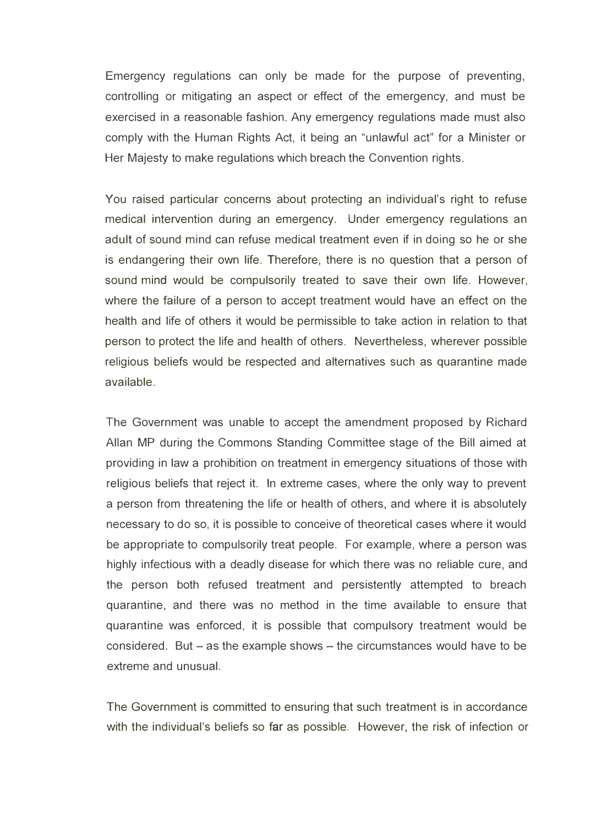Emergency regulations can only be made for the purpose of preventing, controlling or mitigating an aspect or effect of the emergency, and must be exercised in a reasonable fashion. Any emergency regulations made must also comply with the Human Rights Act, it being an "unlawful act" for a Minister or Her Majesty to make regulations which breach the Convention rights.

You raised particular concerns about protecting an individual's right to refuse medical intervention during an emergency. Under emergency regulations an adult of sound mind can refuse medical treatment even if in doing so he or she is endangering their own life. Therefore, there is no question that a person of sound mind would be compulsorily treated to save their own life. However, where the failure of a person to accept treatment would have an effect on the health and life of others it would be permissible to take action in relation to that person to protect the life and health of others. Nevertheless, wherever possible religious beliefs would be respected and alternatives such as quarantine made available.

The Government was unable to accept the amendment proposed by Richard Allan MP during the Commons Standing Committee stage of the Bill aimed at providing in law a prohibition on treatment in emergency situations of those with religious beliefs that reject it. In extreme cases, where the only way to prevent a person from threatening the life or health of others, and where it is absolutely necessary to do so, it is possible to conceive of theoretical cases where it would be appropriate to compulsorily treat people. For example, where a person was highly infectious with a deadly disease for which there was no reliable cure, and the person both refused treatment and persistently attempted to breach quarantine, and there was no method in the time available to ensure that quarantine was enforced, it is possible that compulsory treatment would be considered. But  $-$  as the example shows  $-$  the circumstances would have to be extreme and unusual.

The Government is committed to ensuring that such treatment is in accordance with the individual's beliefs so far as possible. However, the risk of infection or